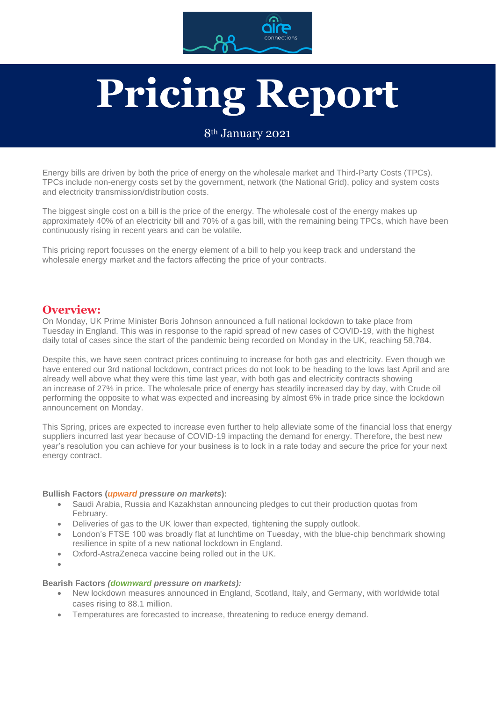

# **Pricing Report**

#### 8th January 2021

Energy bills are driven by both the price of energy on the wholesale market and Third-Party Costs (TPCs). TPCs include non-energy costs set by the government, network (the National Grid), policy and system costs and electricity transmission/distribution costs.

The biggest single cost on a bill is the price of the energy. The wholesale cost of the energy makes up approximately 40% of an electricity bill and 70% of a gas bill, with the remaining being TPCs, which have been continuously rising in recent years and can be volatile.

This pricing report focusses on the energy element of a bill to help you keep track and understand the wholesale energy market and the factors affecting the price of your contracts.

#### **Overview:**

On Monday, UK Prime Minister Boris Johnson announced a full national lockdown to take place from Tuesday in England. This was in response to the rapid spread of new cases of COVID-19, with the highest daily total of cases since the start of the pandemic being recorded on Monday in the UK, reaching 58,784.

Despite this, we have seen contract prices continuing to increase for both gas and electricity. Even though we have entered our 3rd national lockdown, contract prices do not look to be heading to the lows last April and are already well above what they were this time last year, with both gas and electricity contracts showing an increase of 27% in price. The wholesale price of energy has steadily increased day by day, with Crude oil performing the opposite to what was expected and increasing by almost 6% in trade price since the lockdown announcement on Monday.

This Spring, prices are expected to increase even further to help alleviate some of the financial loss that energy suppliers incurred last year because of COVID-19 impacting the demand for energy. Therefore, the best new year's resolution you can achieve for your business is to lock in a rate today and secure the price for your next energy contract.

#### **Bullish Factors (***upward pressure on markets***):**

- Saudi Arabia, Russia and Kazakhstan announcing pledges to cut their production quotas from February.
- Deliveries of gas to the UK lower than expected, tightening the supply outlook.
- London's FTSE 100 was broadly flat at lunchtime on Tuesday, with the blue-chip benchmark showing resilience in spite of a new national lockdown in England.
- Oxford-AstraZeneca vaccine being rolled out in the UK.
- •

#### **Bearish Factors** *(downward pressure on markets):*

- New lockdown measures announced in England, Scotland, Italy, and Germany, with worldwide total cases rising to 88.1 million.
- Temperatures are forecasted to increase, threatening to reduce energy demand.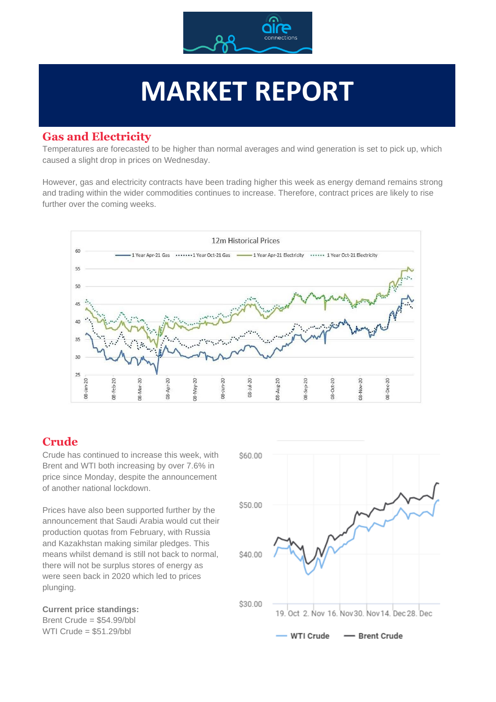

# **MARKET REPORT**

#### **Gas and Electricity**

Temperatures are forecasted to be higher than normal averages and wind generation is set to pick up, which caused a slight drop in prices on Wednesday.

However, gas and electricity contracts have been trading higher this week as energy demand remains strong and trading within the wider commodities continues to increase. Therefore, contract prices are likely to rise further over the coming weeks.



### **Crude**

Crude has continued to increase this week, with Brent and WTI both increasing by over 7.6% in price since Monday, despite the announcement of another national lockdown.

Prices have also been supported further by the announcement that Saudi Arabia would cut their production quotas from February, with Russia and Kazakhstan making similar pledges. This means whilst demand is still not back to normal, there will not be surplus stores of energy as were seen back in 2020 which led to prices plunging.

**Current price standings:** Brent Crude = \$54.99/bbl WTI Crude = \$51.29/bbl

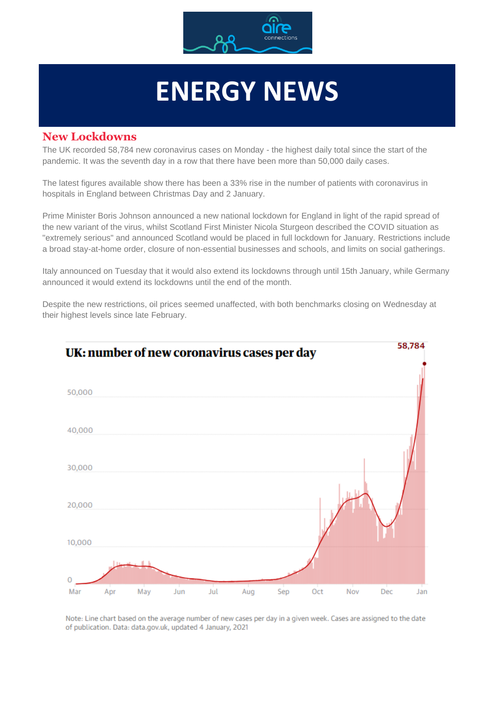

# **ENERGY NEWS**

#### **New Lockdowns**

The UK recorded 58,784 new coronavirus cases on Monday - the highest daily total since the start of the pandemic. It was the seventh day in a row that there have been more than 50,000 daily cases.

The latest figures available show there has been a 33% rise in the number of patients with coronavirus in hospitals in England between Christmas Day and 2 January.

Prime Minister Boris Johnson announced a new national lockdown for England in light of the rapid spread of the new variant of the virus, whilst Scotland First Minister Nicola Sturgeon described the COVID situation as "extremely serious" and announced Scotland would be placed in full lockdown for January. Restrictions include a broad stay-at-home order, closure of non-essential businesses and schools, and limits on social gatherings.

Italy announced on Tuesday that it would also extend its lockdowns through until 15th January, while Germany announced it would extend its lockdowns until the end of the month.

Despite the new restrictions, oil prices seemed unaffected, with both benchmarks closing on Wednesday at their highest levels since late February.



Note: Line chart based on the average number of new cases per day in a given week. Cases are assigned to the date of publication. Data: data.gov.uk, updated 4 January, 2021